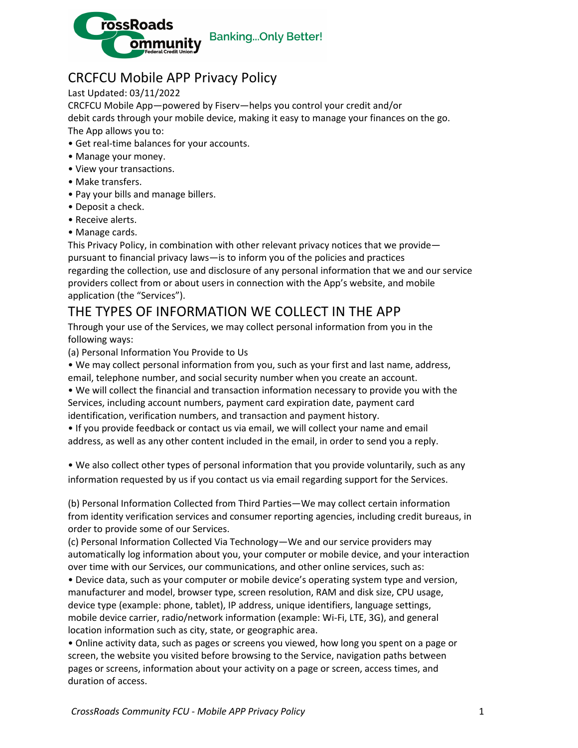

## CRCFCU Mobile APP Privacy Policy

Last Updated: 03/11/2022

CRCFCU Mobile App—powered by Fiserv—helps you control your credit and/or debit cards through your mobile device, making it easy to manage your finances on the go.

The App allows you to:

- Get real-time balances for your accounts.
- Manage your money.
- View your transactions.
- Make transfers.
- Pay your bills and manage billers.
- Deposit a check.
- Receive alerts.
- Manage cards.

This Privacy Policy, in combination with other relevant privacy notices that we provide pursuant to financial privacy laws—is to inform you of the policies and practices regarding the collection, use and disclosure of any personal information that we and our service providers collect from or about users in connection with the App's website, and mobile application (the "Services").

#### THE TYPES OF INFORMATION WE COLLECT IN THE APP

Through your use of the Services, we may collect personal information from you in the following ways:

(a) Personal Information You Provide to Us

• We may collect personal information from you, such as your first and last name, address, email, telephone number, and social security number when you create an account.

• We will collect the financial and transaction information necessary to provide you with the Services, including account numbers, payment card expiration date, payment card identification, verification numbers, and transaction and payment history.

• If you provide feedback or contact us via email, we will collect your name and email address, as well as any other content included in the email, in order to send you a reply.

• We also collect other types of personal information that you provide voluntarily, such as any information requested by us if you contact us via email regarding support for the Services.

(b) Personal Information Collected from Third Parties—We may collect certain information from identity verification services and consumer reporting agencies, including credit bureaus, in order to provide some of our Services.

(c) Personal Information Collected Via Technology—We and our service providers may automatically log information about you, your computer or mobile device, and your interaction over time with our Services, our communications, and other online services, such as:

• Device data, such as your computer or mobile device's operating system type and version, manufacturer and model, browser type, screen resolution, RAM and disk size, CPU usage, device type (example: phone, tablet), IP address, unique identifiers, language settings, mobile device carrier, radio/network information (example: Wi-Fi, LTE, 3G), and general location information such as city, state, or geographic area.

• Online activity data, such as pages or screens you viewed, how long you spent on a page or screen, the website you visited before browsing to the Service, navigation paths between pages or screens, information about your activity on a page or screen, access times, and duration of access.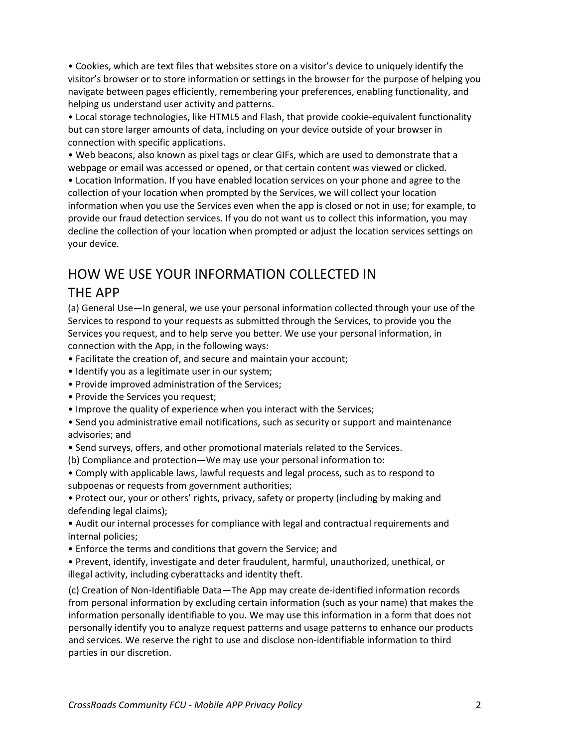• Cookies, which are text files that websites store on a visitor's device to uniquely identify the visitor's browser or to store information or settings in the browser for the purpose of helping you navigate between pages efficiently, remembering your preferences, enabling functionality, and helping us understand user activity and patterns.

• Local storage technologies, like HTML5 and Flash, that provide cookie-equivalent functionality but can store larger amounts of data, including on your device outside of your browser in connection with specific applications.

• Web beacons, also known as pixel tags or clear GIFs, which are used to demonstrate that a webpage or email was accessed or opened, or that certain content was viewed or clicked.

• Location Information. If you have enabled location services on your phone and agree to the collection of your location when prompted by the Services, we will collect your location information when you use the Services even when the app is closed or not in use; for example, to provide our fraud detection services. If you do not want us to collect this information, you may decline the collection of your location when prompted or adjust the location services settings on your device.

# HOW WE USE YOUR INFORMATION COLLECTED IN

#### THE APP

(a) General Use—In general, we use your personal information collected through your use of the Services to respond to your requests as submitted through the Services, to provide you the Services you request, and to help serve you better. We use your personal information, in connection with the App, in the following ways:

- Facilitate the creation of, and secure and maintain your account;
- Identify you as a legitimate user in our system;
- Provide improved administration of the Services;
- Provide the Services you request;
- Improve the quality of experience when you interact with the Services;
- Send you administrative email notifications, such as security or support and maintenance advisories; and
- Send surveys, offers, and other promotional materials related to the Services.
- (b) Compliance and protection—We may use your personal information to:
- Comply with applicable laws, lawful requests and legal process, such as to respond to subpoenas or requests from government authorities;

• Protect our, your or others' rights, privacy, safety or property (including by making and defending legal claims);

• Audit our internal processes for compliance with legal and contractual requirements and internal policies;

• Enforce the terms and conditions that govern the Service; and

• Prevent, identify, investigate and deter fraudulent, harmful, unauthorized, unethical, or illegal activity, including cyberattacks and identity theft.

(c) Creation of Non-Identifiable Data—The App may create de-identified information records from personal information by excluding certain information (such as your name) that makes the information personally identifiable to you. We may use this information in a form that does not personally identify you to analyze request patterns and usage patterns to enhance our products and services. We reserve the right to use and disclose non-identifiable information to third parties in our discretion.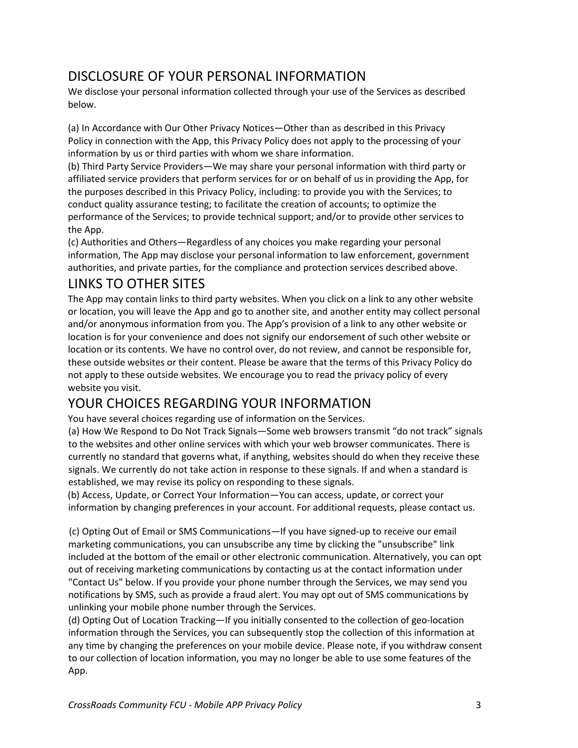### DISCLOSURE OF YOUR PERSONAL INFORMATION

We disclose your personal information collected through your use of the Services as described below.

(a) In Accordance with Our Other Privacy Notices—Other than as described in this Privacy Policy in connection with the App, this Privacy Policy does not apply to the processing of your information by us or third parties with whom we share information.

(b) Third Party Service Providers—We may share your personal information with third party or affiliated service providers that perform services for or on behalf of us in providing the App, for the purposes described in this Privacy Policy, including: to provide you with the Services; to conduct quality assurance testing; to facilitate the creation of accounts; to optimize the performance of the Services; to provide technical support; and/or to provide other services to the App.

(c) Authorities and Others—Regardless of any choices you make regarding your personal information, The App may disclose your personal information to law enforcement, government authorities, and private parties, for the compliance and protection services described above.

#### LINKS TO OTHER SITES

The App may contain links to third party websites. When you click on a link to any other website or location, you will leave the App and go to another site, and another entity may collect personal and/or anonymous information from you. The App's provision of a link to any other website or location is for your convenience and does not signify our endorsement of such other website or location or its contents. We have no control over, do not review, and cannot be responsible for, these outside websites or their content. Please be aware that the terms of this Privacy Policy do not apply to these outside websites. We encourage you to read the privacy policy of every website you visit.

## YOUR CHOICES REGARDING YOUR INFORMATION

You have several choices regarding use of information on the Services.

(a) How We Respond to Do Not Track Signals—Some web browsers transmit "do not track" signals to the websites and other online services with which your web browser communicates. There is currently no standard that governs what, if anything, websites should do when they receive these signals. We currently do not take action in response to these signals. If and when a standard is established, we may revise its policy on responding to these signals.

(b) Access, Update, or Correct Your Information—You can access, update, or correct your information by changing preferences in your account. For additional requests, please contact us.

(c) Opting Out of Email or SMS Communications—If you have signed-up to receive our email marketing communications, you can unsubscribe any time by clicking the "unsubscribe" link included at the bottom of the email or other electronic communication. Alternatively, you can opt out of receiving marketing communications by contacting us at the contact information under "Contact Us" below. If you provide your phone number through the Services, we may send you notifications by SMS, such as provide a fraud alert. You may opt out of SMS communications by unlinking your mobile phone number through the Services.

(d) Opting Out of Location Tracking—If you initially consented to the collection of geo-location information through the Services, you can subsequently stop the collection of this information at any time by changing the preferences on your mobile device. Please note, if you withdraw consent to our collection of location information, you may no longer be able to use some features of the App.